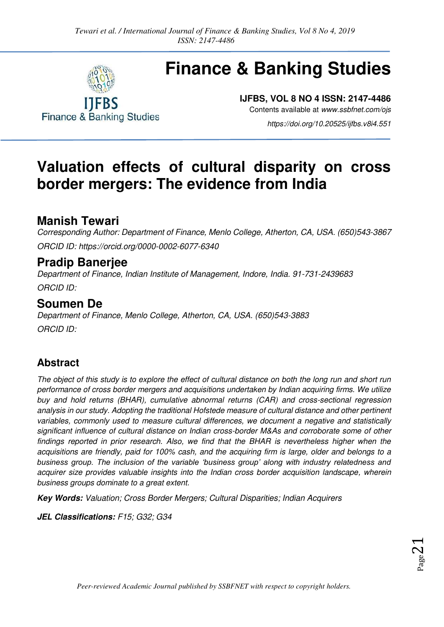

**Finance & Banking Studies** 

# **Finance & Banking Studies**

**IJFBS, VOL 8 NO 4 ISSN: 2147-4486** 

Contents available at *[www.ssbfnet.com/ojs](http://www.ssbfnet.com/ojs)* 

*https://doi.org/10.20525/ijfbs.v8i4.551* 

## **Valuation effects of cultural disparity on cross border mergers: The evidence from India**

### **Manish Tewari**

*Corresponding Author: Department of Finance, Menlo College, Atherton, CA, USA. (650)543-3867 ORCID ID: [https://orcid.org/0000-0002-6077-6340](https://orcid.org/0000-0002-6077-6340?lang=en)*

### **Pradip Banerjee**

*Department of Finance, Indian Institute of Management, Indore, India. 91-731-2439683 ORCID ID:* 

### **Soumen De**

*Department of Finance, Menlo College, Atherton, CA, USA. (650)543-3883 ORCID ID:* 

### **Abstract**

*The object of this study is to explore the effect of cultural distance on both the long run and short run performance of cross border mergers and acquisitions undertaken by Indian acquiring firms. We utilize buy and hold returns (BHAR), cumulative abnormal returns (CAR) and cross-sectional regression analysis in our study. Adopting the traditional Hofstede measure of cultural distance and other pertinent variables, commonly used to measure cultural differences, we document a negative and statistically significant influence of cultural distance on Indian cross-border M&As and corroborate some of other findings reported in prior research. Also, we find that the BHAR is nevertheless higher when the acquisitions are friendly, paid for 100% cash, and the acquiring firm is large, older and belongs to a business group. The inclusion of the variable 'business group' along with industry relatedness and acquirer size provides valuable insights into the Indian cross border acquisition landscape, wherein business groups dominate to a great extent.* 

**Key Words:** *Valuation; Cross Border Mergers; Cultural Disparities; Indian Acquirers* 

**JEL Classifications:** *F15; G32; G34*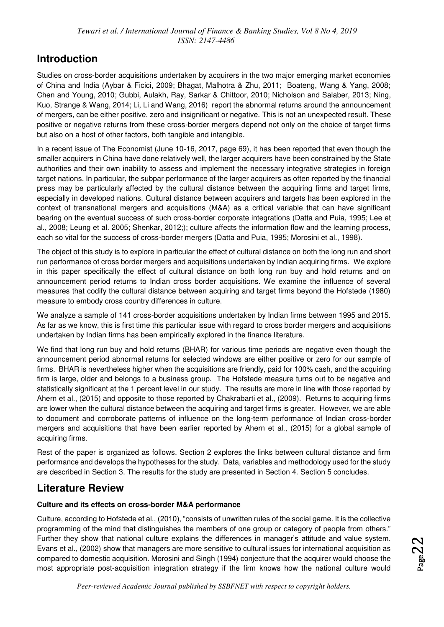### **Introduction**

Studies on cross-border acquisitions undertaken by acquirers in the two major emerging market economies of China and India (Aybar & Ficici, 2009; Bhagat, Malhotra & Zhu, 2011; Boateng, Wang & Yang, 2008; Chen and Young, 2010; Gubbi, Aulakh, Ray, Sarkar & Chittoor, 2010; Nicholson and Salaber, 2013; Ning, Kuo, Strange & Wang, 2014; Li, Li and Wang, 2016) report the abnormal returns around the announcement of mergers, can be either positive, zero and insignificant or negative. This is not an unexpected result. These positive or negative returns from these cross-border mergers depend not only on the choice of target firms but also on a host of other factors, both tangible and intangible.

In a recent issue of The Economist (June 10-16, 2017, page 69), it has been reported that even though the smaller acquirers in China have done relatively well, the larger acquirers have been constrained by the State authorities and their own inability to assess and implement the necessary integrative strategies in foreign target nations. In particular, the subpar performance of the larger acquirers as often reported by the financial press may be particularly affected by the cultural distance between the acquiring firms and target firms, especially in developed nations. Cultural distance between acquirers and targets has been explored in the context of transnational mergers and acquisitions (M&A) as a critical variable that can have significant bearing on the eventual success of such cross-border corporate integrations (Datta and Puia, 1995; Lee et al., 2008; Leung et al. 2005; Shenkar, 2012;); culture affects the information flow and the learning process, each so vital for the success of cross-border mergers (Datta and Puia, 1995; Morosini et al., 1998).

The object of this study is to explore in particular the effect of cultural distance on both the long run and short run performance of cross border mergers and acquisitions undertaken by Indian acquiring firms. We explore in this paper specifically the effect of cultural distance on both long run buy and hold returns and on announcement period returns to Indian cross border acquisitions. We examine the influence of several measures that codify the cultural distance between acquiring and target firms beyond the Hofstede (1980) measure to embody cross country differences in culture.

We analyze a sample of 141 cross-border acquisitions undertaken by Indian firms between 1995 and 2015. As far as we know, this is first time this particular issue with regard to cross border mergers and acquisitions undertaken by Indian firms has been empirically explored in the finance literature.

We find that long run buy and hold returns (BHAR) for various time periods are negative even though the announcement period abnormal returns for selected windows are either positive or zero for our sample of firms. BHAR is nevertheless higher when the acquisitions are friendly, paid for 100% cash, and the acquiring firm is large, older and belongs to a business group. The Hofstede measure turns out to be negative and statistically significant at the 1 percent level in our study. The results are more in line with those reported by Ahern et al., (2015) and opposite to those reported by Chakrabarti et al., (2009). Returns to acquiring firms are lower when the cultural distance between the acquiring and target firms is greater. However, we are able to document and corroborate patterns of influence on the long-term performance of Indian cross-border mergers and acquisitions that have been earlier reported by Ahern et al., (2015) for a global sample of acquiring firms.

Rest of the paper is organized as follows. Section 2 explores the links between cultural distance and firm performance and develops the hypotheses for the study. Data, variables and methodology used for the study are described in Section 3. The results for the study are presented in Section 4. Section 5 concludes.

### **Literature Review**

### **Culture and its effects on cross-border M&A performance**

Culture, according to Hofstede et al., (2010), "consists of unwritten rules of the social game. It is the collective programming of the mind that distinguishes the members of one group or category of people from others." Further they show that national culture explains the differences in manager's attitude and value system. Evans et al., (2002) show that managers are more sensitive to cultural issues for international acquisition as compared to domestic acquisition. Morosini and Singh (1994) conjecture that the acquirer would choose the most appropriate post-acquisition integration strategy if the firm knows how the national culture would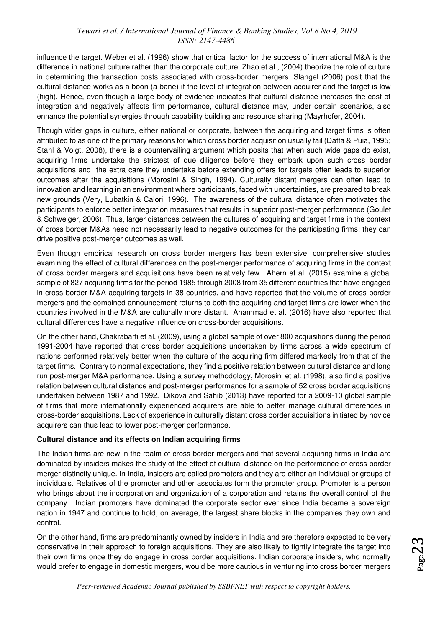influence the target. Weber et al. (1996) show that critical factor for the success of international M&A is the difference in national culture rather than the corporate culture. Zhao et al., (2004) theorize the role of culture in determining the transaction costs associated with cross-border mergers. Slangel (2006) posit that the cultural distance works as a boon (a bane) if the level of integration between acquirer and the target is low (high). Hence, even though a large body of evidence indicates that cultural distance increases the cost of integration and negatively affects firm performance, cultural distance may, under certain scenarios, also enhance the potential synergies through capability building and resource sharing (Mayrhofer, 2004).

Though wider gaps in culture, either national or corporate, between the acquiring and target firms is often attributed to as one of the primary reasons for which cross border acquisition usually fail (Datta & Puia, 1995; Stahl & Voigt, 2008), there is a countervailing argument which posits that when such wide gaps do exist, acquiring firms undertake the strictest of due diligence before they embark upon such cross border acquisitions and the extra care they undertake before extending offers for targets often leads to superior outcomes after the acquisitions (Morosini & Singh, 1994). Culturally distant mergers can often lead to innovation and learning in an environment where participants, faced with uncertainties, are prepared to break new grounds (Very, Lubatkin & Calori, 1996). The awareness of the cultural distance often motivates the participants to enforce better integration measures that results in superior post-merger performance (Goulet & Schweiger, 2006). Thus, larger distances between the cultures of acquiring and target firms in the context of cross border M&As need not necessarily lead to negative outcomes for the participating firms; they can drive positive post-merger outcomes as well.

Even though empirical research on cross border mergers has been extensive, comprehensive studies examining the effect of cultural differences on the post-merger performance of acquiring firms in the context of cross border mergers and acquisitions have been relatively few. Ahern et al. (2015) examine a global sample of 827 acquiring firms for the period 1985 through 2008 from 35 different countries that have engaged in cross border M&A acquiring targets in 38 countries, and have reported that the volume of cross border mergers and the combined announcement returns to both the acquiring and target firms are lower when the countries involved in the M&A are culturally more distant. Ahammad et al. (2016) have also reported that cultural differences have a negative influence on cross-border acquisitions.

On the other hand, Chakrabarti et al. (2009), using a global sample of over 800 acquisitions during the period 1991-2004 have reported that cross border acquisitions undertaken by firms across a wide spectrum of nations performed relatively better when the culture of the acquiring firm differed markedly from that of the target firms. Contrary to normal expectations, they find a positive relation between cultural distance and long run post-merger M&A performance. Using a survey methodology, Morosini et al. (1998), also find a positive relation between cultural distance and post-merger performance for a sample of 52 cross border acquisitions undertaken between 1987 and 1992. Dikova and Sahib (2013) have reported for a 2009-10 global sample of firms that more internationally experienced acquirers are able to better manage cultural differences in cross-border acquisitions. Lack of experience in culturally distant cross border acquisitions initiated by novice acquirers can thus lead to lower post-merger performance.

#### **Cultural distance and its effects on Indian acquiring firms**

The Indian firms are new in the realm of cross border mergers and that several acquiring firms in India are dominated by insiders makes the study of the effect of cultural distance on the performance of cross border merger distinctly unique. In India, insiders are called promoters and they are either an individual or groups of individuals. Relatives of the promoter and other associates form the promoter group. Promoter is a person who brings about the incorporation and organization of a corporation and retains the overall control of the company. Indian promoters have dominated the corporate sector ever since India became a sovereign nation in 1947 and continue to hold, on average, the largest share blocks in the companies they own and control.

On the other hand, firms are predominantly owned by insiders in India and are therefore expected to be very conservative in their approach to foreign acquisitions. They are also likely to tightly integrate the target into their own firms once they do engage in cross border acquisitions. Indian corporate insiders, who normally would prefer to engage in domestic mergers, would be more cautious in venturing into cross border mergers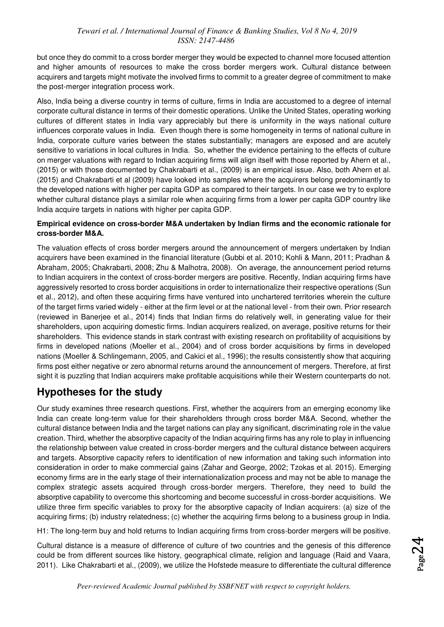but once they do commit to a cross border merger they would be expected to channel more focused attention and higher amounts of resources to make the cross border mergers work. Cultural distance between acquirers and targets might motivate the involved firms to commit to a greater degree of commitment to make the post-merger integration process work.

Also, India being a diverse country in terms of culture, firms in India are accustomed to a degree of internal corporate cultural distance in terms of their domestic operations. Unlike the United States, operating working cultures of different states in India vary appreciably but there is uniformity in the ways national culture influences corporate values in India. Even though there is some homogeneity in terms of national culture in India, corporate culture varies between the states substantially; managers are exposed and are acutely sensitive to variations in local cultures in India. So, whether the evidence pertaining to the effects of culture on merger valuations with regard to Indian acquiring firms will align itself with those reported by Ahern et al., (2015) or with those documented by Chakrabarti et al., (2009) is an empirical issue. Also, both Ahern et al. (2015) and Chakrabarti et al (2009) have looked into samples where the acquirers belong predominantly to the developed nations with higher per capita GDP as compared to their targets. In our case we try to explore whether cultural distance plays a similar role when acquiring firms from a lower per capita GDP country like India acquire targets in nations with higher per capita GDP.

#### **Empirical evidence on cross-border M&A undertaken by Indian firms and the economic rationale for cross-border M&A.**

The valuation effects of cross border mergers around the announcement of mergers undertaken by Indian acquirers have been examined in the financial literature (Gubbi et al. 2010; Kohli & Mann, 2011; Pradhan & Abraham, 2005; Chakrabarti, 2008; Zhu & Malhotra, 2008). On average, the announcement period returns to Indian acquirers in the context of cross-border mergers are positive. Recently, Indian acquiring firms have aggressively resorted to cross border acquisitions in order to internationalize their respective operations (Sun et al., 2012), and often these acquiring firms have ventured into unchartered territories wherein the culture of the target firms varied widely - either at the firm level or at the national level - from their own. Prior research (reviewed in Banerjee et al., 2014) finds that Indian firms do relatively well, in generating value for their shareholders, upon acquiring domestic firms. Indian acquirers realized, on average, positive returns for their shareholders. This evidence stands in stark contrast with existing research on profitability of acquisitions by firms in developed nations (Moeller et al., 2004) and of cross border acquisitions by firms in developed nations (Moeller & Schlingemann, 2005, and Cakici et al., 1996); the results consistently show that acquiring firms post either negative or zero abnormal returns around the announcement of mergers. Therefore, at first sight it is puzzling that Indian acquirers make profitable acquisitions while their Western counterparts do not.

### **Hypotheses for the study**

Our study examines three research questions. First, whether the acquirers from an emerging economy like India can create long-term value for their shareholders through cross border M&A. Second, whether the cultural distance between India and the target nations can play any significant, discriminating role in the value creation. Third, whether the absorptive capacity of the Indian acquiring firms has any role to play in influencing the relationship between value created in cross-border mergers and the cultural distance between acquirers and targets. Absorptive capacity refers to identification of new information and taking such information into consideration in order to make commercial gains (Zahar and George, 2002; Tzokas et al. 2015). Emerging economy firms are in the early stage of their internationalization process and may not be able to manage the complex strategic assets acquired through cross-border mergers. Therefore, they need to build the absorptive capability to overcome this shortcoming and become successful in cross-border acquisitions. We utilize three firm specific variables to proxy for the absorptive capacity of Indian acquirers: (a) size of the acquiring firms; (b) industry relatedness; (c) whether the acquiring firms belong to a business group in India.

H1: The long-term buy and hold returns to Indian acquiring firms from cross-border mergers will be positive.

Cultural distance is a measure of difference of culture of two countries and the genesis of this difference could be from different sources like history, geographical climate, religion and language (Raid and Vaara, 2011). Like Chakrabarti et al., (2009), we utilize the Hofstede measure to differentiate the cultural difference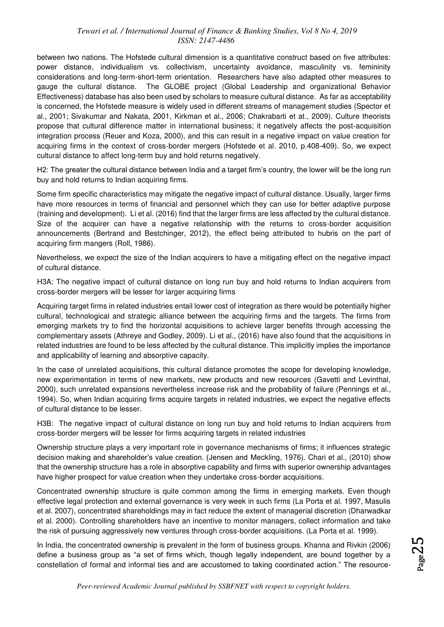between two nations. The Hofstede cultural dimension is a quantitative construct based on five attributes: power distance, individualism vs. collectivism, uncertainty avoidance, masculinity vs. femininity considerations and long-term-short-term orientation. Researchers have also adapted other measures to gauge the cultural distance. The GLOBE project (Global Leadership and organizational Behavior Effectiveness) database has also been used by scholars to measure cultural distance. As far as acceptability is concerned, the Hofstede measure is widely used in different streams of management studies (Spector et al., 2001; Sivakumar and Nakata, 2001, Kirkman et al., 2006; Chakrabarti et at., 2009). Culture theorists propose that cultural difference matter in international business; it negatively affects the post-acquisition integration process (Reuer and Koza, 2000), and this can result in a negative impact on value creation for acquiring firms in the context of cross-border mergers (Hofstede et al. 2010, p.408-409). So, we expect cultural distance to affect long-term buy and hold returns negatively.

H2: The greater the cultural distance between India and a target firm's country, the lower will be the long run buy and hold returns to Indian acquiring firms.

Some firm specific characteristics may mitigate the negative impact of cultural distance. Usually, larger firms have more resources in terms of financial and personnel which they can use for better adaptive purpose (training and development). Li et al. (2016) find that the larger firms are less affected by the cultural distance. Size of the acquirer can have a negative relationship with the returns to cross-border acquisition announcements (Bertrand and Bestchinger, 2012), the effect being attributed to hubris on the part of acquiring firm mangers (Roll, 1986).

Nevertheless, we expect the size of the Indian acquirers to have a mitigating effect on the negative impact of cultural distance.

H3A: The negative impact of cultural distance on long run buy and hold returns to Indian acquirers from cross-border mergers will be lesser for larger acquiring firms

Acquiring target firms in related industries entail lower cost of integration as there would be potentially higher cultural, technological and strategic alliance between the acquiring firms and the targets. The firms from emerging markets try to find the horizontal acquisitions to achieve larger benefits through accessing the complementary assets (Athreye and Godley, 2009). Li et al., (2016) have also found that the acquisitions in related industries are found to be less affected by the cultural distance. This implicitly implies the importance and applicability of learning and absorptive capacity.

In the case of unrelated acquisitions, this cultural distance promotes the scope for developing knowledge, new experimentation in terms of new markets, new products and new resources (Gavetti and Levinthal, 2000), such unrelated expansions nevertheless increase risk and the probability of failure (Pennings et al., 1994). So, when Indian acquiring firms acquire targets in related industries, we expect the negative effects of cultural distance to be lesser.

H3B: The negative impact of cultural distance on long run buy and hold returns to Indian acquirers from cross-border mergers will be lesser for firms acquiring targets in related industries

Ownership structure plays a very important role in governance mechanisms of firms; it influences strategic decision making and shareholder's value creation. (Jensen and Meckling, 1976). Chari et al., (2010) show that the ownership structure has a role in absorptive capability and firms with superior ownership advantages have higher prospect for value creation when they undertake cross-border acquisitions.

Concentrated ownership structure is quite common among the firms in emerging markets. Even though effective legal protection and external governance is very week in such firms (La Porta et al. 1997, Masulis et al. 2007), concentrated shareholdings may in fact reduce the extent of managerial discretion (Dharwadkar et al. 2000). Controlling shareholders have an incentive to monitor managers, collect information and take the risk of pursuing aggressively new ventures through cross-border acquisitions. (La Porta et al. 1999).

In India, the concentrated ownership is prevalent in the form of business groups. Khanna and Rivkin (2006) define a business group as "a set of firms which, though legally independent, are bound together by a constellation of formal and informal ties and are accustomed to taking coordinated action." The resource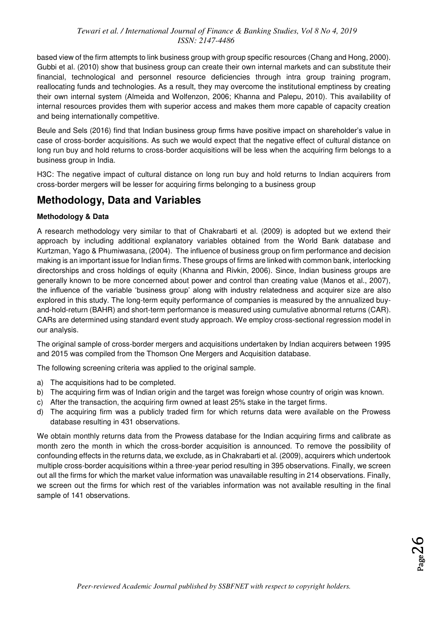based view of the firm attempts to link business group with group specific resources (Chang and Hong, 2000). Gubbi et al. (2010) show that business group can create their own internal markets and can substitute their financial, technological and personnel resource deficiencies through intra group training program, reallocating funds and technologies. As a result, they may overcome the institutional emptiness by creating their own internal system (Almeida and Wolfenzon, 2006; Khanna and Palepu, 2010). This availability of internal resources provides them with superior access and makes them more capable of capacity creation and being internationally competitive.

Beule and Sels (2016) find that Indian business group firms have positive impact on shareholder's value in case of cross-border acquisitions. As such we would expect that the negative effect of cultural distance on long run buy and hold returns to cross-border acquisitions will be less when the acquiring firm belongs to a business group in India.

H3C: The negative impact of cultural distance on long run buy and hold returns to Indian acquirers from cross-border mergers will be lesser for acquiring firms belonging to a business group

### **Methodology, Data and Variables**

### **Methodology & Data**

A research methodology very similar to that of Chakrabarti et al. (2009) is adopted but we extend their approach by including additional explanatory variables obtained from the World Bank database and Kurtzman, Yago & Phumiwasana, (2004). The influence of business group on firm performance and decision making is an important issue for Indian firms. These groups of firms are linked with common bank, interlocking directorships and cross holdings of equity (Khanna and Rivkin, 2006). Since, Indian business groups are generally known to be more concerned about power and control than creating value (Manos et al., 2007), the influence of the variable 'business group' along with industry relatedness and acquirer size are also explored in this study. The long-term equity performance of companies is measured by the annualized buyand-hold-return (BAHR) and short-term performance is measured using cumulative abnormal returns (CAR). CARs are determined using standard event study approach. We employ cross-sectional regression model in our analysis.

The original sample of cross-border mergers and acquisitions undertaken by Indian acquirers between 1995 and 2015 was compiled from the Thomson One Mergers and Acquisition database.

The following screening criteria was applied to the original sample.

- a) The acquisitions had to be completed.
- b) The acquiring firm was of Indian origin and the target was foreign whose country of origin was known.
- c) After the transaction, the acquiring firm owned at least 25% stake in the target firms.
- d) The acquiring firm was a publicly traded firm for which returns data were available on the Prowess database resulting in 431 observations.

We obtain monthly returns data from the Prowess database for the Indian acquiring firms and calibrate as month zero the month in which the cross-border acquisition is announced. To remove the possibility of confounding effects in the returns data, we exclude, as in Chakrabarti et al. (2009), acquirers which undertook multiple cross-border acquisitions within a three-year period resulting in 395 observations. Finally, we screen out all the firms for which the market value information was unavailable resulting in 214 observations. Finally, we screen out the firms for which rest of the variables information was not available resulting in the final sample of 141 observations.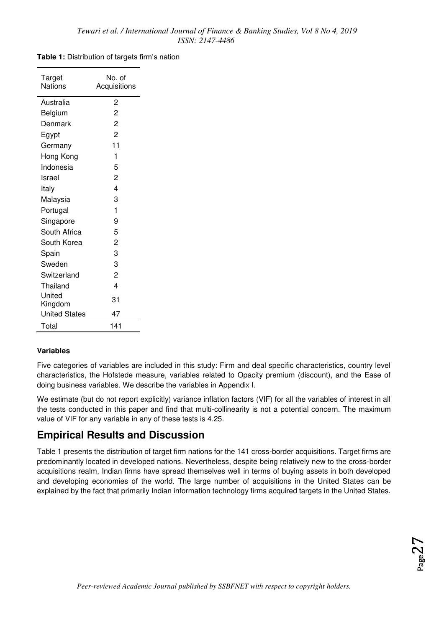#### **Table 1:** Distribution of targets firm's nation

| Target<br>Nations    | No. of<br>Acquisitions  |
|----------------------|-------------------------|
| Australia            | 2                       |
| Belgium              | $\overline{2}$          |
| Denmark              | $\overline{c}$          |
| Egypt                | $\overline{2}$          |
| Germany              | 11                      |
| Hong Kong            | 1                       |
| Indonesia            | 5                       |
| Israel               | $\overline{2}$          |
| Italy                | $\overline{\mathbf{4}}$ |
| Malaysia             | 3                       |
| Portugal             | 1                       |
| Singapore            | 9                       |
| South Africa         | 5                       |
| South Korea          | $\overline{c}$          |
| Spain                | 3                       |
| Sweden               | 3                       |
| Switzerland          | $\overline{2}$          |
| Thailand             | 4                       |
| United               | 31                      |
| Kingdom              |                         |
| <b>United States</b> | 47                      |
| Total                | 141                     |

### **Variables**

Five categories of variables are included in this study: Firm and deal specific characteristics, country level characteristics, the Hofstede measure, variables related to Opacity premium (discount), and the Ease of doing business variables. We describe the variables in Appendix I.

We estimate (but do not report explicitly) variance inflation factors (VIF) for all the variables of interest in all the tests conducted in this paper and find that multi-collinearity is not a potential concern. The maximum value of VIF for any variable in any of these tests is 4.25.

### **Empirical Results and Discussion**

Table 1 presents the distribution of target firm nations for the 141 cross-border acquisitions. Target firms are predominantly located in developed nations. Nevertheless, despite being relatively new to the cross-border acquisitions realm, Indian firms have spread themselves well in terms of buying assets in both developed and developing economies of the world. The large number of acquisitions in the United States can be explained by the fact that primarily Indian information technology firms acquired targets in the United States.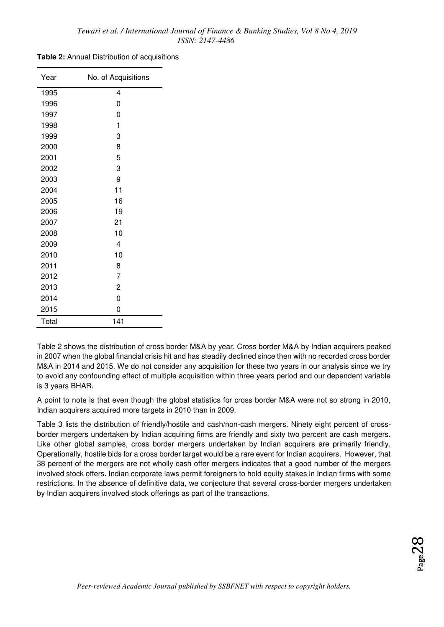| Table 2: Annual Distribution of acquisitions |  |
|----------------------------------------------|--|
|----------------------------------------------|--|

| Year  | No. of Acquisitions |
|-------|---------------------|
| 1995  | 4                   |
| 1996  | 0                   |
| 1997  | 0                   |
| 1998  | 1                   |
| 1999  | 3                   |
| 2000  | 8                   |
| 2001  | 5                   |
| 2002  | 3                   |
| 2003  | 9                   |
| 2004  | 11                  |
| 2005  | 16                  |
| 2006  | 19                  |
| 2007  | 21                  |
| 2008  | 10                  |
| 2009  | 4                   |
| 2010  | 10                  |
| 2011  | 8                   |
| 2012  | $\overline{7}$      |
| 2013  | $\overline{c}$      |
| 2014  | 0                   |
| 2015  | 0                   |
| Total | 141                 |

Table 2 shows the distribution of cross border M&A by year. Cross border M&A by Indian acquirers peaked in 2007 when the global financial crisis hit and has steadily declined since then with no recorded cross border M&A in 2014 and 2015. We do not consider any acquisition for these two years in our analysis since we try to avoid any confounding effect of multiple acquisition within three years period and our dependent variable is 3 years BHAR.

A point to note is that even though the global statistics for cross border M&A were not so strong in 2010, Indian acquirers acquired more targets in 2010 than in 2009.

Table 3 lists the distribution of friendly/hostile and cash/non-cash mergers. Ninety eight percent of crossborder mergers undertaken by Indian acquiring firms are friendly and sixty two percent are cash mergers. Like other global samples, cross border mergers undertaken by Indian acquirers are primarily friendly. Operationally, hostile bids for a cross border target would be a rare event for Indian acquirers. However, that 38 percent of the mergers are not wholly cash offer mergers indicates that a good number of the mergers involved stock offers. Indian corporate laws permit foreigners to hold equity stakes in Indian firms with some restrictions. In the absence of definitive data, we conjecture that several cross-border mergers undertaken by Indian acquirers involved stock offerings as part of the transactions.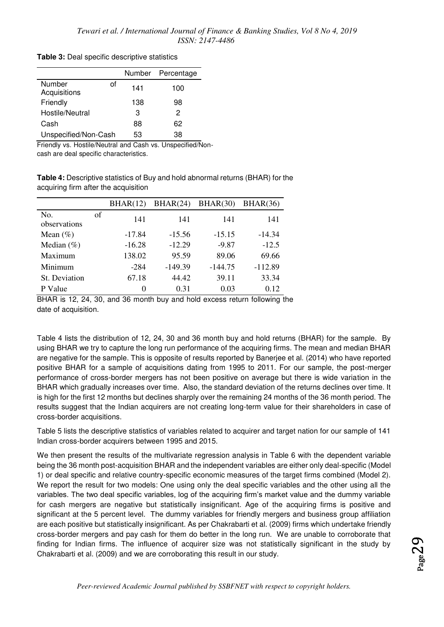|                              |     | Number Percentage |
|------------------------------|-----|-------------------|
| Number<br>Ωf<br>Acquisitions | 141 | 100               |
| Friendly                     | 138 | 98                |
| Hostile/Neutral              | З   | 2                 |
| Cash                         | 88  | 62                |
| Unspecified/Non-Cash         | 53  | 38                |

**Table 3:** Deal specific descriptive statistics

Friendly vs. Hostile/Neutral and Cash vs. Unspecified/Non-

cash are deal specific characteristics.

**Table 4:** Descriptive statistics of Buy and hold abnormal returns (BHAR) for the acquiring firm after the acquisition

|                     |    | BHAR(12) | BHAR(24)  | BHAR(30)  | BHAR(36)  |
|---------------------|----|----------|-----------|-----------|-----------|
| No.<br>observations | of | 141      | 141       | 141       | 141       |
| Mean $(\% )$        |    | $-17.84$ | $-15.56$  | $-15.15$  | $-14.34$  |
| Median $(\% )$      |    | $-16.28$ | $-12.29$  | $-9.87$   | $-12.5$   |
| Maximum             |    | 138.02   | 95.59     | 89.06     | 69.66     |
| Minimum             |    | $-284$   | $-149.39$ | $-144.75$ | $-112.89$ |
| St. Deviation       |    | 67.18    | 44.42     | 39.11     | 33.34     |
| P Value             |    | 0        | 0.31      | 0.03      | 0.12      |

BHAR is 12, 24, 30, and 36 month buy and hold excess return following the date of acquisition.

Table 4 lists the distribution of 12, 24, 30 and 36 month buy and hold returns (BHAR) for the sample. By using BHAR we try to capture the long run performance of the acquiring firms. The mean and median BHAR are negative for the sample. This is opposite of results reported by Banerjee et al. (2014) who have reported positive BHAR for a sample of acquisitions dating from 1995 to 2011. For our sample, the post-merger performance of cross-border mergers has not been positive on average but there is wide variation in the BHAR which gradually increases over time. Also, the standard deviation of the returns declines over time. It is high for the first 12 months but declines sharply over the remaining 24 months of the 36 month period. The results suggest that the Indian acquirers are not creating long-term value for their shareholders in case of cross-border acquisitions.

Table 5 lists the descriptive statistics of variables related to acquirer and target nation for our sample of 141 Indian cross-border acquirers between 1995 and 2015.

We then present the results of the multivariate regression analysis in Table 6 with the dependent variable being the 36 month post-acquisition BHAR and the independent variables are either only deal-specific (Model 1) or deal specific and relative country-specific economic measures of the target firms combined (Model 2). We report the result for two models: One using only the deal specific variables and the other using all the variables. The two deal specific variables, log of the acquiring firm's market value and the dummy variable for cash mergers are negative but statistically insignificant. Age of the acquiring firms is positive and significant at the 5 percent level. The dummy variables for friendly mergers and business group affiliation are each positive but statistically insignificant. As per Chakrabarti et al. (2009) firms which undertake friendly cross-border mergers and pay cash for them do better in the long run. We are unable to corroborate that finding for Indian firms. The influence of acquirer size was not statistically significant in the study by Chakrabarti et al. (2009) and we are corroborating this result in our study.

*Peer-reviewed Academic Journal published by SSBFNET with respect to copyright holders.*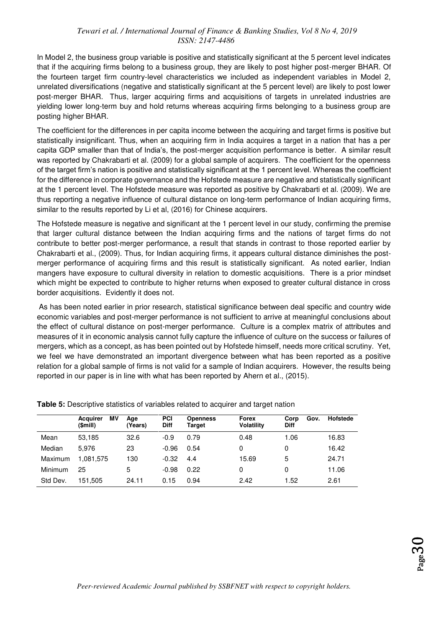In Model 2, the business group variable is positive and statistically significant at the 5 percent level indicates that if the acquiring firms belong to a business group, they are likely to post higher post-merger BHAR. Of the fourteen target firm country-level characteristics we included as independent variables in Model 2, unrelated diversifications (negative and statistically significant at the 5 percent level) are likely to post lower post-merger BHAR. Thus, larger acquiring firms and acquisitions of targets in unrelated industries are yielding lower long-term buy and hold returns whereas acquiring firms belonging to a business group are posting higher BHAR.

The coefficient for the differences in per capita income between the acquiring and target firms is positive but statistically insignificant. Thus, when an acquiring firm in India acquires a target in a nation that has a per capita GDP smaller than that of India's, the post-merger acquisition performance is better. A similar result was reported by Chakrabarti et al. (2009) for a global sample of acquirers. The coefficient for the openness of the target firm's nation is positive and statistically significant at the 1 percent level. Whereas the coefficient for the difference in corporate governance and the Hofstede measure are negative and statistically significant at the 1 percent level. The Hofstede measure was reported as positive by Chakrabarti et al. (2009). We are thus reporting a negative influence of cultural distance on long-term performance of Indian acquiring firms, similar to the results reported by Li et al, (2016) for Chinese acquirers.

The Hofstede measure is negative and significant at the 1 percent level in our study, confirming the premise that larger cultural distance between the Indian acquiring firms and the nations of target firms do not contribute to better post-merger performance, a result that stands in contrast to those reported earlier by Chakrabarti et al., (2009). Thus, for Indian acquiring firms, it appears cultural distance diminishes the postmerger performance of acquiring firms and this result is statistically significant. As noted earlier, Indian mangers have exposure to cultural diversity in relation to domestic acquisitions. There is a prior mindset which might be expected to contribute to higher returns when exposed to greater cultural distance in cross border acquisitions. Evidently it does not.

 As has been noted earlier in prior research, statistical significance between deal specific and country wide economic variables and post-merger performance is not sufficient to arrive at meaningful conclusions about the effect of cultural distance on post-merger performance. Culture is a complex matrix of attributes and measures of it in economic analysis cannot fully capture the influence of culture on the success or failures of mergers, which as a concept, as has been pointed out by Hofstede himself, needs more critical scrutiny. Yet, we feel we have demonstrated an important divergence between what has been reported as a positive relation for a global sample of firms is not valid for a sample of Indian acquirers. However, the results being reported in our paper is in line with what has been reported by Ahern et al., (2015).

|                | ΜV<br><b>Acquirer</b><br>(\$mill) | Age<br>(Years) | <b>PCI</b><br><b>Diff</b> | <b>Openness</b><br>Target | Forex<br><b>Volatility</b> | Gov.<br>Corp<br><b>Diff</b> | Hofstede |
|----------------|-----------------------------------|----------------|---------------------------|---------------------------|----------------------------|-----------------------------|----------|
| Mean           | 53,185                            | 32.6           | $-0.9$                    | 0.79                      | 0.48                       | 1.06                        | 16.83    |
| Median         | 5.976                             | 23             | $-0.96$                   | 0.54                      | 0                          | 0                           | 16.42    |
| Maximum        | 1.081.575                         | 130            | $-0.32$                   | 4.4                       | 15.69                      | 5                           | 24.71    |
| <b>Minimum</b> | 25                                | 5              | $-0.98$                   | 0.22                      | 0                          | 0                           | 11.06    |
| Std Dev.       | 151.505                           | 24.11          | 0.15                      | 0.94                      | 2.42                       | 1.52                        | 2.61     |

**Table 5:** Descriptive statistics of variables related to acquirer and target nation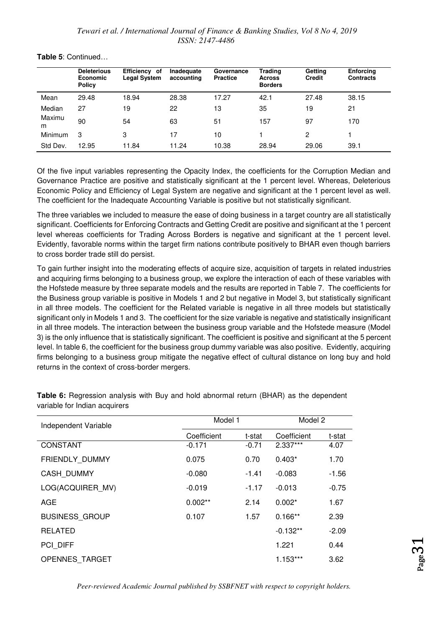|                | <b>Deleterious</b><br><b>Economic</b><br><b>Policy</b> | Efficiency of<br><b>Legal System</b> | Inadequate<br>accounting | Governance<br><b>Practice</b> | Trading<br><b>Across</b><br><b>Borders</b> | Getting<br><b>Credit</b> | <b>Enforcing</b><br><b>Contracts</b> |
|----------------|--------------------------------------------------------|--------------------------------------|--------------------------|-------------------------------|--------------------------------------------|--------------------------|--------------------------------------|
| Mean           | 29.48                                                  | 18.94                                | 28.38                    | 17.27                         | 42.1                                       | 27.48                    | 38.15                                |
| Median         | 27                                                     | 19                                   | 22                       | 13                            | 35                                         | 19                       | 21                                   |
| Maximu<br>m    | 90                                                     | 54                                   | 63                       | 51                            | 157                                        | 97                       | 170                                  |
| <b>Minimum</b> | 3                                                      | 3                                    | 17                       | 10                            |                                            | 2                        |                                      |
| Std Dev.       | 12.95                                                  | 11.84                                | 11.24                    | 10.38                         | 28.94                                      | 29.06                    | 39.1                                 |

#### **Table 5**: Continued…

Of the five input variables representing the Opacity Index, the coefficients for the Corruption Median and Governance Practice are positive and statistically significant at the 1 percent level. Whereas, Deleterious Economic Policy and Efficiency of Legal System are negative and significant at the 1 percent level as well. The coefficient for the Inadequate Accounting Variable is positive but not statistically significant.

The three variables we included to measure the ease of doing business in a target country are all statistically significant. Coefficients for Enforcing Contracts and Getting Credit are positive and significant at the 1 percent level whereas coefficients for Trading Across Borders is negative and significant at the 1 percent level. Evidently, favorable norms within the target firm nations contribute positively to BHAR even though barriers to cross border trade still do persist.

To gain further insight into the moderating effects of acquire size, acquisition of targets in related industries and acquiring firms belonging to a business group, we explore the interaction of each of these variables with the Hofstede measure by three separate models and the results are reported in Table 7. The coefficients for the Business group variable is positive in Models 1 and 2 but negative in Model 3, but statistically significant in all three models. The coefficient for the Related variable is negative in all three models but statistically significant only in Models 1 and 3. The coefficient for the size variable is negative and statistically insignificant in all three models. The interaction between the business group variable and the Hofstede measure (Model 3) is the only influence that is statistically significant. The coefficient is positive and significant at the 5 percent level. In table 6, the coefficient for the business group dummy variable was also positive. Evidently, acquiring firms belonging to a business group mitigate the negative effect of cultural distance on long buy and hold returns in the context of cross-border mergers.

| Independent Variable  | Model 1     | Model 2 |             |         |
|-----------------------|-------------|---------|-------------|---------|
|                       | Coefficient | t-stat  | Coefficient | t-stat  |
| <b>CONSTANT</b>       | $-0.171$    | $-0.71$ | 2.337***    | 4.07    |
| FRIENDLY DUMMY        | 0.075       | 0.70    | $0.403*$    | 1.70    |
| CASH_DUMMY            | $-0.080$    | $-1.41$ | $-0.083$    | $-1.56$ |
| LOG(ACQUIRER MV)      | $-0.019$    | $-1.17$ | $-0.013$    | $-0.75$ |
| AGE                   | $0.002**$   | 2.14    | $0.002*$    | 1.67    |
| <b>BUSINESS GROUP</b> | 0.107       | 1.57    | $0.166**$   | 2.39    |
| <b>RELATED</b>        |             |         | $-0.132**$  | $-2.09$ |
| PCI DIFF              |             |         | 1.221       | 0.44    |
| <b>OPENNES TARGET</b> |             |         | $1.153***$  | 3.62    |

**Table 6:** Regression analysis with Buy and hold abnormal return (BHAR) as the dependent variable for Indian acquirers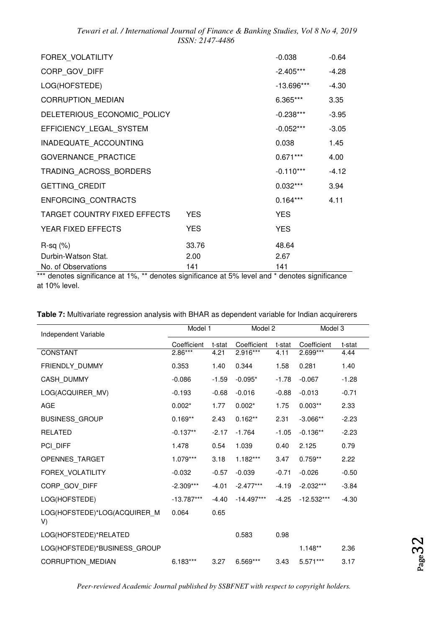| FOREX VOLATILITY             |            | $-0.038$     | $-0.64$ |
|------------------------------|------------|--------------|---------|
| CORP_GOV_DIFF                |            | $-2.405***$  | $-4.28$ |
| LOG(HOFSTEDE)                |            | $-13.696***$ | $-4.30$ |
| CORRUPTION_MEDIAN            |            | 6.365***     | 3.35    |
| DELETERIOUS ECONOMIC POLICY  |            | $-0.238***$  | $-3.95$ |
| EFFICIENCY_LEGAL_SYSTEM      |            | $-0.052***$  | $-3.05$ |
| INADEQUATE ACCOUNTING        |            | 0.038        | 1.45    |
| GOVERNANCE_PRACTICE          |            | $0.671***$   | 4.00    |
| TRADING_ACROSS_BORDERS       |            | $-0.110***$  | $-4.12$ |
| GETTING_CREDIT               |            | $0.032***$   | 3.94    |
| ENFORCING_CONTRACTS          |            | $0.164***$   | 4.11    |
| TARGET COUNTRY FIXED EFFECTS | <b>YES</b> | <b>YES</b>   |         |
| YEAR FIXED EFFECTS           | <b>YES</b> | <b>YES</b>   |         |
| $R-sq$ $(\%)$                | 33.76      | 48.64        |         |
| Durbin-Watson Stat.          | 2.00       | 2.67         |         |
| No. of Observations          | 141        | 141          |         |

\*\*\* denotes significance at 1%, \*\* denotes significance at 5% level and \* denotes significance at 10% level.

| Independent Variable               | Model 1      |         | Model 2      |         | Model 3      |         |
|------------------------------------|--------------|---------|--------------|---------|--------------|---------|
|                                    | Coefficient  | t-stat  | Coefficient  | t-stat  | Coefficient  | t-stat  |
| <b>CONSTANT</b>                    | $2.86***$    | 4.21    | $2.916***$   | 4.11    | $2.699***$   | 4.44    |
| FRIENDLY_DUMMY                     | 0.353        | 1.40    | 0.344        | 1.58    | 0.281        | 1.40    |
| CASH_DUMMY                         | $-0.086$     | $-1.59$ | $-0.095*$    | $-1.78$ | $-0.067$     | $-1.28$ |
| LOG(ACQUIRER_MV)                   | $-0.193$     | $-0.68$ | $-0.016$     | $-0.88$ | $-0.013$     | $-0.71$ |
| <b>AGE</b>                         | $0.002*$     | 1.77    | $0.002*$     | 1.75    | $0.003**$    | 2.33    |
| BUSINESS_GROUP                     | $0.169**$    | 2.43    | $0.162**$    | 2.31    | $-3.066**$   | $-2.23$ |
| <b>RELATED</b>                     | $-0.137**$   | $-2.17$ | $-1.764$     | $-1.05$ | $-0.136**$   | $-2.23$ |
| PCI_DIFF                           | 1.478        | 0.54    | 1.039        | 0.40    | 2.125        | 0.79    |
| OPENNES_TARGET                     | $1.079***$   | 3.18    | $1.182***$   | 3.47    | $0.759**$    | 2.22    |
| FOREX_VOLATILITY                   | $-0.032$     | $-0.57$ | $-0.039$     | $-0.71$ | $-0.026$     | $-0.50$ |
| CORP GOV DIFF                      | $-2.309***$  | $-4.01$ | $-2.477***$  | $-4.19$ | $-2.032***$  | $-3.84$ |
| LOG(HOFSTEDE)                      | $-13.787***$ | $-4.40$ | $-14.497***$ | $-4.25$ | $-12.532***$ | $-4.30$ |
| LOG(HOFSTEDE)*LOG(ACQUIRER_M<br>V) | 0.064        | 0.65    |              |         |              |         |
| LOG(HOFSTEDE)*RELATED              |              |         | 0.583        | 0.98    |              |         |
| LOG(HOFSTEDE)*BUSINESS_GROUP       |              |         |              |         | $1.148**$    | 2.36    |
| <b>CORRUPTION MEDIAN</b>           | $6.183***$   | 3.27    | 6.569***     | 3.43    | 5.571***     | 3.17    |

#### **Table 7:** Multivariate regression analysis with BHAR as dependent variable for Indian acquirerers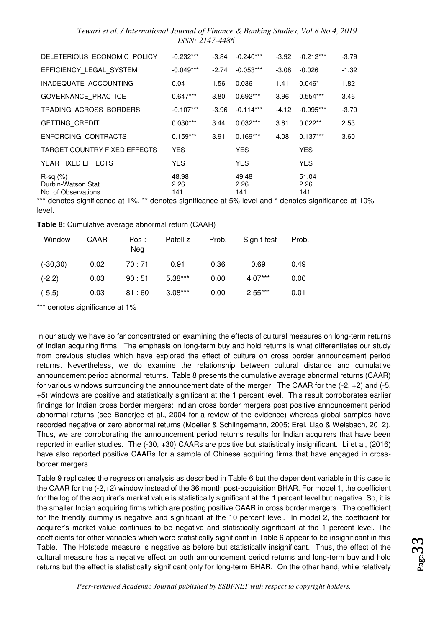| DELETERIOUS ECONOMIC POLICY                              | $-0.232***$          | -3.84   | $-0.240***$          | $-3.92$ | $-0.212***$          | $-3.79$ |
|----------------------------------------------------------|----------------------|---------|----------------------|---------|----------------------|---------|
| EFFICIENCY_LEGAL_SYSTEM                                  | $-0.049***$          | $-2.74$ | $-0.053***$          | $-3.08$ | $-0.026$             | $-1.32$ |
| INADEQUATE_ACCOUNTING                                    | 0.041                | 1.56    | 0.036                | 1.41    | $0.046*$             | 1.82    |
| <b>GOVERNANCE PRACTICE</b>                               | $0.647***$           | 3.80    | $0.692***$           | 3.96    | $0.554***$           | 3.46    |
| TRADING ACROSS BORDERS                                   | $-0.107***$          | $-3.96$ | $-0.114***$          | -4.12   | $-0.095***$          | $-3.79$ |
| <b>GETTING CREDIT</b>                                    | $0.030***$           | 3.44    | $0.032***$           | 3.81    | $0.022**$            | 2.53    |
| ENFORCING CONTRACTS                                      | $0.159***$           | 3.91    | $0.169***$           | 4.08    | $0.137***$           | 3.60    |
| TARGET COUNTRY FIXED EFFECTS                             | <b>YES</b>           |         | <b>YES</b>           |         | <b>YES</b>           |         |
| YEAR FIXED EFFECTS                                       | <b>YES</b>           |         | <b>YES</b>           |         | <b>YES</b>           |         |
| $R-sq(\%)$<br>Durbin-Watson Stat.<br>No. of Observations | 48.98<br>2.26<br>141 |         | 49.48<br>2.26<br>141 |         | 51.04<br>2.26<br>141 |         |

\*\*\* denotes significance at 1%, \*\* denotes significance at 5% level and \* denotes significance at 10% level.

**Table 8:** Cumulative average abnormal return (CAAR)

| Window      | CAAR | Pos:<br>Neg | Patell z  | Prob. | Sign t-test | Prob. |
|-------------|------|-------------|-----------|-------|-------------|-------|
| $(-30, 30)$ | 0.02 | 70 : 71     | 0.91      | 0.36  | 0.69        | 0.49  |
| $(-2,2)$    | 0.03 | 90:51       | $5.38***$ | 0.00  | $4.07***$   | 0.00  |
| $(-5,5)$    | 0.03 | 81:60       | $3.08***$ | 0.00  | $2.55***$   | 0.01  |

\*\*\* denotes significance at 1%

In our study we have so far concentrated on examining the effects of cultural measures on long-term returns of Indian acquiring firms. The emphasis on long-term buy and hold returns is what differentiates our study from previous studies which have explored the effect of culture on cross border announcement period returns. Nevertheless, we do examine the relationship between cultural distance and cumulative announcement period abnormal returns. Table 8 presents the cumulative average abnormal returns (CAAR) for various windows surrounding the announcement date of the merger. The CAAR for the (-2, +2) and (-5, +5) windows are positive and statistically significant at the 1 percent level. This result corroborates earlier findings for Indian cross border mergers: Indian cross border mergers post positive announcement period abnormal returns (see Banerjee et al., 2004 for a review of the evidence) whereas global samples have recorded negative or zero abnormal returns (Moeller & Schlingemann, 2005; Erel, Liao & Weisbach, 2012). Thus, we are corroborating the announcement period returns results for Indian acquirers that have been reported in earlier studies. The (-30, +30) CAARs are positive but statistically insignificant. Li et al, (2016) have also reported positive CAARs for a sample of Chinese acquiring firms that have engaged in crossborder mergers.

Table 9 replicates the regression analysis as described in Table 6 but the dependent variable in this case is the CAAR for the (-2,+2) window instead of the 36 month post-acquisition BHAR. For model 1, the coefficient for the log of the acquirer's market value is statistically significant at the 1 percent level but negative. So, it is the smaller Indian acquiring firms which are posting positive CAAR in cross border mergers. The coefficient for the friendly dummy is negative and significant at the 10 percent level. In model 2, the coefficient for acquirer's market value continues to be negative and statistically significant at the 1 percent level. The coefficients for other variables which were statistically significant in Table 6 appear to be insignificant in this Table. The Hofstede measure is negative as before but statistically insignificant. Thus, the effect of the cultural measure has a negative effect on both announcement period returns and long-term buy and hold returns but the effect is statistically significant only for long-term BHAR. On the other hand, while relatively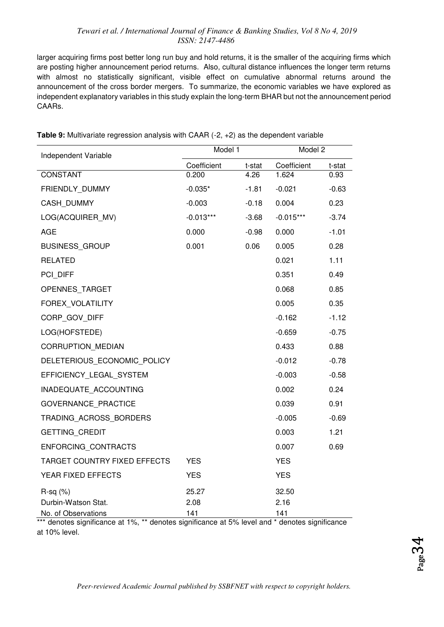larger acquiring firms post better long run buy and hold returns, it is the smaller of the acquiring firms which are posting higher announcement period returns. Also, cultural distance influences the longer term returns with almost no statistically significant, visible effect on cumulative abnormal returns around the announcement of the cross border mergers. To summarize, the economic variables we have explored as independent explanatory variables in this study explain the long-term BHAR but not the announcement period CAARs.

| Independent Variable         | Model 1     |         | Model 2     |         |
|------------------------------|-------------|---------|-------------|---------|
|                              | Coefficient | t-stat  | Coefficient | t-stat  |
| <b>CONSTANT</b>              | 0.200       | 4.26    | 1.624       | 0.93    |
| FRIENDLY_DUMMY               | $-0.035*$   | $-1.81$ | $-0.021$    | $-0.63$ |
| CASH_DUMMY                   | $-0.003$    | $-0.18$ | 0.004       | 0.23    |
| LOG(ACQUIRER MV)             | $-0.013***$ | $-3.68$ | $-0.015***$ | $-3.74$ |
| <b>AGE</b>                   | 0.000       | $-0.98$ | 0.000       | $-1.01$ |
| <b>BUSINESS GROUP</b>        | 0.001       | 0.06    | 0.005       | 0.28    |
| <b>RELATED</b>               |             |         | 0.021       | 1.11    |
| PCI DIFF                     |             |         | 0.351       | 0.49    |
| OPENNES_TARGET               |             |         | 0.068       | 0.85    |
| FOREX VOLATILITY             |             |         | 0.005       | 0.35    |
| CORP GOV DIFF                |             |         | $-0.162$    | $-1.12$ |
| LOG(HOFSTEDE)                |             |         | $-0.659$    | $-0.75$ |
| <b>CORRUPTION MEDIAN</b>     |             |         | 0.433       | 0.88    |
| DELETERIOUS_ECONOMIC_POLICY  |             |         | $-0.012$    | $-0.78$ |
| EFFICIENCY LEGAL SYSTEM      |             |         | $-0.003$    | $-0.58$ |
| INADEQUATE_ACCOUNTING        |             |         | 0.002       | 0.24    |
| <b>GOVERNANCE PRACTICE</b>   |             |         | 0.039       | 0.91    |
| TRADING ACROSS BORDERS       |             |         | $-0.005$    | $-0.69$ |
| GETTING_CREDIT               |             |         | 0.003       | 1.21    |
| ENFORCING_CONTRACTS          |             |         | 0.007       | 0.69    |
| TARGET COUNTRY FIXED EFFECTS | <b>YES</b>  |         | <b>YES</b>  |         |
| YEAR FIXED EFFECTS           | <b>YES</b>  |         | <b>YES</b>  |         |
| $R-sq$ $(\%)$                | 25.27       |         | 32.50       |         |
| Durbin-Watson Stat.          | 2.08        |         | 2.16        |         |
| No. of Observations          | 141         |         | 141         |         |

**Table 9:** Multivariate regression analysis with CAAR (-2, +2) as the dependent variable

\*\*\* denotes significance at 1%, \*\* denotes significance at 5% level and \* denotes significance at 10% level.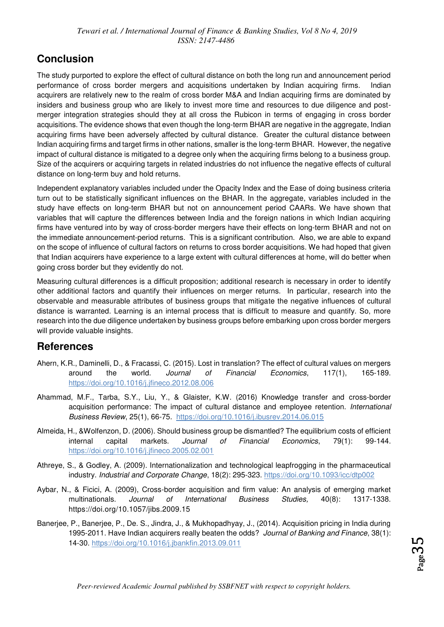### **Conclusion**

The study purported to explore the effect of cultural distance on both the long run and announcement period performance of cross border mergers and acquisitions undertaken by Indian acquiring firms. Indian acquirers are relatively new to the realm of cross border M&A and Indian acquiring firms are dominated by insiders and business group who are likely to invest more time and resources to due diligence and postmerger integration strategies should they at all cross the Rubicon in terms of engaging in cross border acquisitions. The evidence shows that even though the long-term BHAR are negative in the aggregate, Indian acquiring firms have been adversely affected by cultural distance. Greater the cultural distance between Indian acquiring firms and target firms in other nations, smaller is the long-term BHAR. However, the negative impact of cultural distance is mitigated to a degree only when the acquiring firms belong to a business group. Size of the acquirers or acquiring targets in related industries do not influence the negative effects of cultural distance on long-term buy and hold returns.

Independent explanatory variables included under the Opacity Index and the Ease of doing business criteria turn out to be statistically significant influences on the BHAR. In the aggregate, variables included in the study have effects on long-term BHAR but not on announcement period CAARs. We have shown that variables that will capture the differences between India and the foreign nations in which Indian acquiring firms have ventured into by way of cross-border mergers have their effects on long-term BHAR and not on the immediate announcement-period returns. This is a significant contribution. Also, we are able to expand on the scope of influence of cultural factors on returns to cross border acquisitions. We had hoped that given that Indian acquirers have experience to a large extent with cultural differences at home, will do better when going cross border but they evidently do not.

Measuring cultural differences is a difficult proposition; additional research is necessary in order to identify other additional factors and quantify their influences on merger returns. In particular, research into the observable and measurable attributes of business groups that mitigate the negative influences of cultural distance is warranted. Learning is an internal process that is difficult to measure and quantify. So, more research into the due diligence undertaken by business groups before embarking upon cross border mergers will provide valuable insights.

### **References**

- Ahern, K.R., Daminelli, D., & Fracassi, C. (2015). Lost in translation? The effect of cultural values on mergers around the world. *Journal of Financial Economics*, 117(1), 165-189. <https://doi.org/10.1016/j.jfineco.2012.08.006>
- Ahammad, M.F., Tarba, S.Y., Liu, Y., & Glaister, K.W. (2016) Knowledge transfer and cross-border acquisition performance: The impact of cultural distance and employee retention. *International Business Review*, 25(1), 66-75. <https://doi.org/10.1016/j.ibusrev.2014.06.015>
- Almeida, H., &Wolfenzon, D. (2006). Should business group be dismantled? The equilibrium costs of efficient internal capital markets. *Journal of Financial Economics*, 79(1): 99-144. <https://doi.org/10.1016/j.jfineco.2005.02.001>
- Athreye, S., & Godley, A. (2009). Internationalization and technological leapfrogging in the pharmaceutical industry. *Industrial and Corporate Change*, 18(2): 295-323.<https://doi.org/10.1093/icc/dtp002>
- Aybar, N., & Ficici, A. (2009), Cross-border acquisition and firm value: An analysis of emerging market multinationals. *Journal of International Business Studies,* 40(8): 1317-1338. <https://doi.org/10.1057/jibs.2009.15>
- Banerjee, P., Banerjee, P., De. S., Jindra, J., & Mukhopadhyay, J., (2014). Acquisition pricing in India during 1995-2011. Have Indian acquirers really beaten the odds? *Journal of Banking and Finance*, 38(1): 14-30.<https://doi.org/10.1016/j.jbankfin.2013.09.011>

 $_{\rm Page}$ 35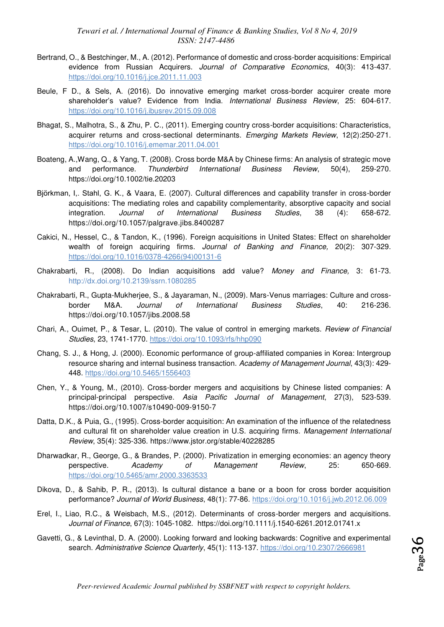- Bertrand, O., & Bestchinger, M., A. (2012). Performance of domestic and cross-border acquisitions: Empirical evidence from Russian Acquirers. *Journal of Comparative Economics*, 40(3): 413-437. <https://doi.org/10.1016/j.jce.2011.11.003>
- Beule, F D., & Sels, A. (2016). Do innovative emerging market cross-border acquirer create more shareholder's value? Evidence from India. *International Business Review*, 25: 604-617. <https://doi.org/10.1016/j.ibusrev.2015.09.008>
- Bhagat, S., Malhotra, S., & Zhu, P. C., (2011). Emerging country cross-border acquisitions: Characteristics, acquirer returns and cross-sectional determinants. *Emerging Markets Review*, 12(2):250-271. <https://doi.org/10.1016/j.ememar.2011.04.001>
- Boateng, A.,Wang, Q., & Yang, T. (2008). Cross borde M&A by Chinese firms: An analysis of strategic move and performance. *Thunderbird International Business Review*, 50(4), 259-270. <https://doi.org/10.1002/tie.20203>
- Björkman, I,. Stahl, G. K., & Vaara, E. (2007). Cultural differences and capability transfer in cross-border acquisitions: The mediating roles and capability complementarity, absorptive capacity and social integration. *Journal of International Business Studies*, 38 (4): 658-672. <https://doi.org/10.1057/palgrave.jibs.8400287>
- Cakici, N., Hessel, C., & Tandon, K., (1996). Foreign acquisitions in United States: Effect on shareholder wealth of foreign acquiring firms. *Journal of Banking and Finance,* 20(2): 307-329. [https://doi.org/10.1016/0378-4266\(94\)00131-6](https://doi.org/10.1016/0378-4266(94)00131-6)
- Chakrabarti, R., (2008). Do Indian acquisitions add value? *Money and Finance,* 3: 61-73. <http://dx.doi.org/10.2139/ssrn.1080285>
- Chakrabarti, R., Gupta-Mukherjee, S., & Jayaraman, N., (2009). Mars-Venus marriages: Culture and crossborder M&A. *Journal of International Business Studies*, 40: 216-236. <https://doi.org/10.1057/jibs.2008.58>
- Chari, A., Ouimet, P., & Tesar, L. (2010). The value of control in emerging markets. *Review of Financial Studies*, 23, 1741-1770.<https://doi.org/10.1093/rfs/hhp090>
- Chang, S. J., & Hong, J. (2000). Economic performance of group-affiliated companies in Korea: Intergroup resource sharing and internal business transaction. *Academy of Management Journal*, 43(3): 429- 448.<https://doi.org/10.5465/1556403>
- Chen, Y., & Young, M., (2010). Cross-border mergers and acquisitions by Chinese listed companies: A principal-principal perspective. *Asia Pacific Journal of Management*, 27(3), 523-539. <https://doi.org/10.1007/s10490-009-9150-7>
- Datta, D.K., & Puia, G., (1995). Cross-border acquisition: An examination of the influence of the relatedness and cultural fit on shareholder value creation in U.S. acquiring firms. *Management International Review*, 35(4): 325-336.<https://www.jstor.org/stable/40228285>
- Dharwadkar, R., George, G., & Brandes, P. (2000). Privatization in emerging economies: an agency theory perspective. *Academy of Management Review*, 25: 650-669. <https://doi.org/10.5465/amr.2000.3363533>
- Dikova, D., & Sahib, P. R., (2013). Is cultural distance a bane or a boon for cross border acquisition performance? *Journal of World Business*, 48(1): 77-86.<https://doi.org/10.1016/j.jwb.2012.06.009>
- Erel, I., Liao, R.C., & Weisbach, M.S., (2012). Determinants of cross-border mergers and acquisitions. *Journal of Finance*, 67(3): 1045-1082. <https://doi.org/10.1111/j.1540-6261.2012.01741.x>
- Gavetti, G., & Levinthal, D. A. (2000). Looking forward and looking backwards: Cognitive and experimental search. *Administrative Science Quarterly*, 45(1): 113-137. [https://doi.org/10.2307/2666981](https://doi.org/10.2307%2F2666981)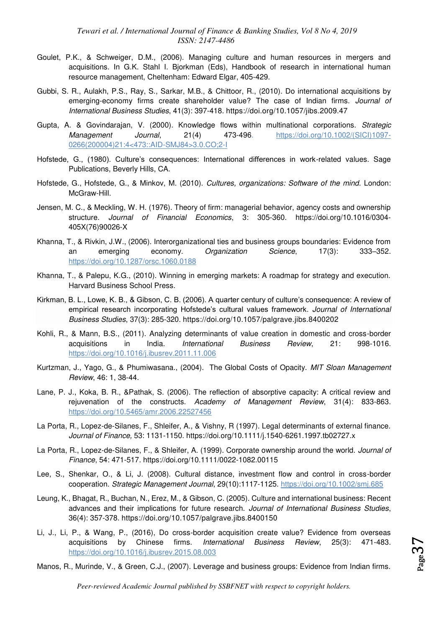- Goulet, P.K., & Schweiger, D.M., (2006). Managing culture and human resources in mergers and acquisitions. In G.K. Stahl I. Bjorkman (Eds), Handbook of research in international human resource management, Cheltenham: Edward Elgar, 405-429.
- Gubbi, S. R., Aulakh, P.S., Ray, S., Sarkar, M.B., & Chittoor, R., (2010). Do international acquisitions by emerging-economy firms create shareholder value? The case of Indian firms. *Journal of International Business Studies*, 41(3): 397-418.<https://doi.org/10.1057/jibs.2009.47>
- Gupta, A. & Govindarajan, V. (2000). Knowledge flows within multinational corporations. *Strategic Management Journal*, 21(4) 473-496. [https://doi.org/10.1002/\(SICI\)1097-](https://doi.org/10.1002/(SICI)1097-0266(200004)21:4%3C473::AID-SMJ84%3E3.0.CO;2-I) [0266\(200004\)21:4<473::AID-SMJ84>3.0.CO;2-I](https://doi.org/10.1002/(SICI)1097-0266(200004)21:4%3C473::AID-SMJ84%3E3.0.CO;2-I)
- Hofstede, G., (1980). Culture's consequences: International differences in work-related values. Sage Publications, Beverly Hills, CA.
- Hofstede, G., Hofstede, G., & Minkov, M. (2010). *Cultures, organizations: Software of the mind*. London: McGraw-Hill.
- Jensen, M. C., & Meckling, W. H. (1976). Theory of firm: managerial behavior, agency costs and ownership structure. *Journal of Financial Economics*, 3: 305-360. [https://doi.org/10.1016/0304-](https://doi.org/10.1016/0304-405X(76)90026-X) [405X\(76\)90026-X](https://doi.org/10.1016/0304-405X(76)90026-X)
- Khanna, T., & Rivkin, J.W., (2006). Interorganizational ties and business groups boundaries: Evidence from an emerging economy. *Organization Science*, 17(3): 333–352. <https://doi.org/10.1287/orsc.1060.0188>
- Khanna, T., & Palepu, K.G., (2010). Winning in emerging markets: A roadmap for strategy and execution. Harvard Business School Press.
- Kirkman, B. L., Lowe, K. B., & Gibson, C. B. (2006). A quarter century of culture's consequence: A review of empirical research incorporating Hofstede's cultural values framework. *Journal of International Business Studies*, 37(3): 285-320.<https://doi.org/10.1057/palgrave.jibs.8400202>
- Kohli, R., & Mann, B.S., (2011). Analyzing determinants of value creation in domestic and cross-border acquisitions in India. *International Business Review*, 21: 998-1016. <https://doi.org/10.1016/j.ibusrev.2011.11.006>
- Kurtzman, J., Yago, G., & Phumiwasana., (2004). The Global Costs of Opacity. *MIT Sloan Management Review*, 46: 1, 38-44.
- Lane, P. J., Koka, B. R., &Pathak, S. (2006). The reflection of absorptive capacity: A critical review and rejuvenation of the constructs. *Academy of Management Review*, 31(4): 833-863. <https://doi.org/10.5465/amr.2006.22527456>
- La Porta, R., Lopez-de-Silanes, F., Shleifer, A., & Vishny, R (1997). Legal determinants of external finance. *Journal of Finance,* 53: 1131-1150.<https://doi.org/10.1111/j.1540-6261.1997.tb02727.x>
- La Porta, R., Lopez-de-Silanes, F., & Shleifer, A. (1999). Corporate ownership around the world. *Journal of Finance*, 54: 471-517.<https://doi.org/10.1111/0022-1082.00115>
- Lee, S., Shenkar, O., & Li, J. (2008). Cultural distance, investment flow and control in cross-border cooperation. *Strategic Management Journal*, 29(10):1117-1125.<https://doi.org/10.1002/smj.685>
- Leung, K., Bhagat, R., Buchan, N., Erez, M., & Gibson, C. (2005). Culture and international business: Recent advances and their implications for future research. *Journal of International Business Studies*, 36(4): 357-378.<https://doi.org/10.1057/palgrave.jibs.8400150>
- Li, J., Li, P., & Wang, P., (2016), Do cross-border acquisition create value? Evidence from overseas acquisitions by Chinese firms. *International Business Review*, 25(3): 471-483. <https://doi.org/10.1016/j.ibusrev.2015.08.003>
- Manos, R., Murinde, V., & Green, C.J., (2007). Leverage and business groups: Evidence from Indian firms.

 $Page 37$ 

*Peer-reviewed Academic Journal published by SSBFNET with respect to copyright holders.*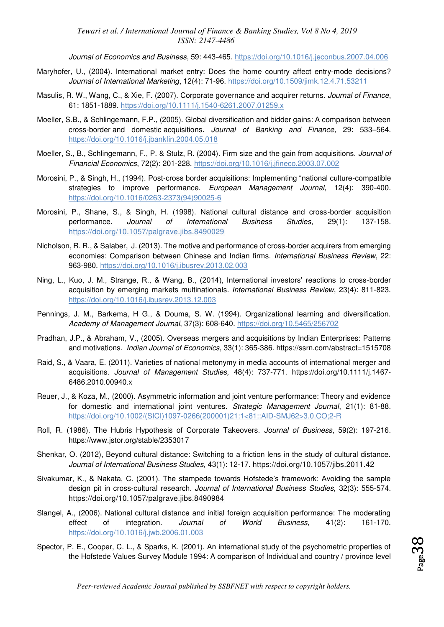*Journal of Economics and Business*, 59: 443-465.<https://doi.org/10.1016/j.jeconbus.2007.04.006>

- Maryhofer, U., (2004). International market entry: Does the home country affect entry-mode decisions? *Journal of International Marketing*, 12(4): 71-96. [https://doi.org/10.1509/jimk.12.4.71.53211](https://doi.org/10.1509%2Fjimk.12.4.71.53211)
- Masulis, R. W., Wang, C., & Xie, F. (2007). Corporate governance and acquirer returns. *Journal of Finance*, 61: 1851-1889.<https://doi.org/10.1111/j.1540-6261.2007.01259.x>
- Moeller, S.B., & Schlingemann, F.P., (2005). Global diversification and bidder gains: A comparison between cross-border and domestic acquisitions. *[Journal of Banking and Finance,](http://www.sciencedirect.com/science/journal/03784266)* 29: 533–564. <https://doi.org/10.1016/j.jbankfin.2004.05.018>
- Moeller, S., B., Schlingemann, F., P. & Stulz, R. (2004). Firm size and the gain from acquisitions. *Journal of Financial Economics*, 72(2): 201-228.<https://doi.org/10.1016/j.jfineco.2003.07.002>
- Morosini, P., & Singh, H., (1994). Post-cross border acquisitions: Implementing "national culture-compatible strategies to improve performance. *European Management Journal*, 12(4): 390-400. [https://doi.org/10.1016/0263-2373\(94\)90025-6](https://doi.org/10.1016/0263-2373(94)90025-6)
- Morosini, P., Shane, S., & Singh, H. (1998). National cultural distance and cross-border acquisition performance. *Journal of International Business Studies*, 29(1): 137-158. <https://doi.org/10.1057/palgrave.jibs.8490029>
- Nicholson, R. R., & Salaber, J. (2013). The motive and performance of cross-border acquirers from emerging economies: Comparison between Chinese and Indian firms. *International Business Review*, 22: 963-980.<https://doi.org/10.1016/j.ibusrev.2013.02.003>
- Ning, L., Kuo, J. M., Strange, R., & Wang, B., (2014), International investors' reactions to cross-border acquisition by emerging markets multinationals*. International Business Review*, 23(4): 811-823. <https://doi.org/10.1016/j.ibusrev.2013.12.003>
- Pennings, J. M., Barkema, H G., & Douma, S. W. (1994). Organizational learning and diversification. *Academy of Management Journal*, 37(3): 608-640.<https://doi.org/10.5465/256702>
- Pradhan, J.P., & Abraham, V., (2005). Overseas mergers and acquisitions by Indian Enterprises: Patterns and motivations. *Indian Journal of Economics*, 33(1): 365-386[. https://ssrn.com/abstract=1515708](https://ssrn.com/abstract=1515708)
- Raid, S., & Vaara, E. (2011). Varieties of national metonymy in media accounts of international merger and acquisitions. *Journal of Management Studies,* 48(4): 737-771. [https://doi.org/10.1111/j.1467-](https://doi.org/10.1111/j.1467-6486.2010.00940.x) [6486.2010.00940.x](https://doi.org/10.1111/j.1467-6486.2010.00940.x)
- Reuer, J., & Koza, M., (2000). Asymmetric information and joint venture performance: Theory and evidence for domestic and international joint ventures. *Strategic Management Journal*, 21(1): 81-88. [https://doi.org/10.1002/\(SICI\)1097-0266\(200001\)21:1<81::AID-SMJ62>3.0.CO;2-R](https://doi.org/10.1002/(SICI)1097-0266(200001)21:1%3C81::AID-SMJ62%3E3.0.CO;2-R)
- Roll, R. (1986). The Hubris Hypothesis of Corporate Takeovers. *Journal of Business*, 59(2): 197-216. <https://www.jstor.org/stable/2353017>
- Shenkar, O. (2012), Beyond cultural distance: Switching to a friction lens in the study of cultural distance. *Journal of International Business Studies,* 43(1): 12-17.<https://doi.org/10.1057/jibs.2011.42>
- Sivakumar, K., & Nakata, C. (2001). The stampede towards Hofstede's framework: Avoiding the sample design pit in cross-cultural research. *Journal of International Business Studies,* 32(3): 555-574. <https://doi.org/10.1057/palgrave.jibs.8490984>
- Slangel, A., (2006). National cultural distance and initial foreign acquisition performance: The moderating effect of integration. *Journal of World Business*, 41(2): 161-170. <https://doi.org/10.1016/j.jwb.2006.01.003>
- Spector, P. E., Cooper, C. L., & Sparks, K. (2001). An international study of the psychometric properties of the Hofstede Values Survey Module 1994: A comparison of Individual and country / province level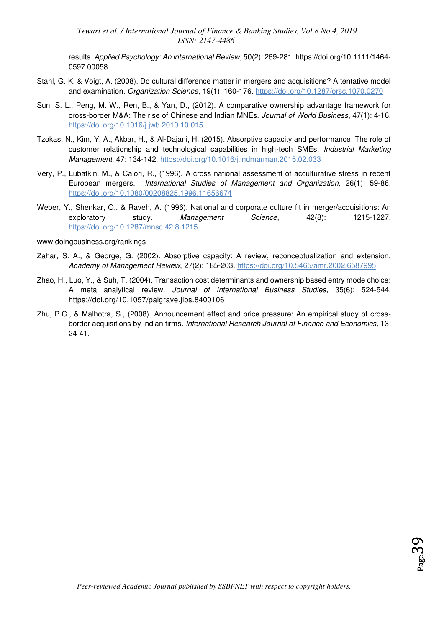results. *Applied Psychology: An international Review*, 50(2): 269-281[. https://doi.org/10.1111/1464-](https://doi.org/10.1111/1464-0597.00058) [0597.00058](https://doi.org/10.1111/1464-0597.00058) 

- Stahl, G. K. & Voigt, A. (2008). Do cultural difference matter in mergers and acquisitions? A tentative model and examination. *Organization Science*, 19(1): 160-176.<https://doi.org/10.1287/orsc.1070.0270>
- Sun, S. L., Peng, M. W., Ren, B., & Yan, D., (2012). A comparative ownership advantage framework for cross-border M&A: The rise of Chinese and Indian MNEs. *Journal of World Business*, 47(1): 4-16. <https://doi.org/10.1016/j.jwb.2010.10.015>
- Tzokas, N., Kim, Y. A., Akbar, H., & Al-Dajani, H. (2015). Absorptive capacity and performance: The role of customer relationship and technological capabilities in high-tech SMEs. *Industrial Marketing Management*, 47: 134-142.<https://doi.org/10.1016/j.indmarman.2015.02.033>
- Very, P., Lubatkin, M., & Calori, R., (1996). A cross national assessment of acculturative stress in recent European mergers. *International Studies of Management and Organization,* 26(1): 59-86. <https://doi.org/10.1080/00208825.1996.11656674>
- Weber, Y., Shenkar, O,. & Raveh, A. (1996). National and corporate culture fit in merger/acquisitions: An exploratory study. *Management Science*, 42(8): 1215-1227. <https://doi.org/10.1287/mnsc.42.8.1215>

#### www.doingbusiness.org/rankings

- Zahar, S. A., & George, G. (2002). Absorptive capacity: A review, reconceptualization and extension. *Academy of Management Review*, 27(2): 185-203.<https://doi.org/10.5465/amr.2002.6587995>
- Zhao, H., Luo, Y., & Suh, T. (2004). Transaction cost determinants and ownership based entry mode choice: A meta analytical review. *Journal of International Business Studies*, 35(6): 524-544. <https://doi.org/10.1057/palgrave.jibs.8400106>
- Zhu, P.C., & Malhotra, S., (2008). Announcement effect and price pressure: An empirical study of crossborder acquisitions by Indian firms. *International Research Journal of Finance and Economics,* 13: 24-41.

 $_{\rm Page}$ 39